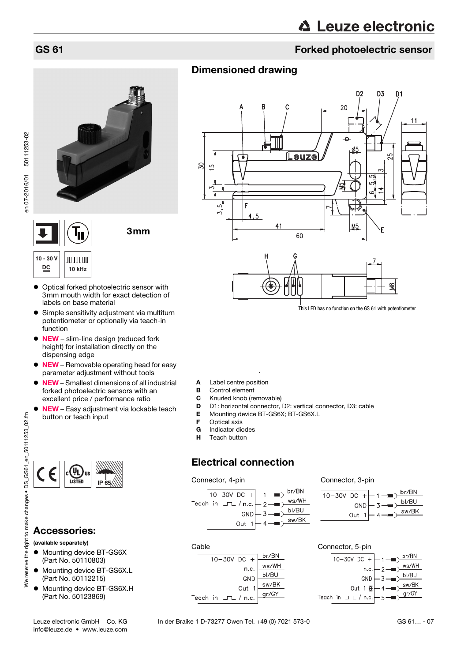# GS 61 Forked photoelectric sensor

# Dimensioned drawing



This LED has no function on the GS 61 with potentiometer

- A Label centre position<br>B Control element
- **B** Control element<br>**C** Knurled knob (re
- Knurled knob (removable)
- D D1: horizontal connector, D2: vertical connector, D3: cable<br>E Mounting device BT-GS6X; BT-GS6X.L
- **E** Mounting device BT-GS6X; BT-GS6X.L<br>**F** Optical axis
- Optical axis
- **G** Indicator diodes
- Teach button

# Electrical connection

**Cable** 











# Accessories:

#### (available separately)

- $\bullet$  Mounting device BT-GS6X (Part No. 50110803)
- $\bullet$  Mounting device BT-GS6X.L (Part No. 50112215)
- $\bullet$  Mounting device BT-GS6X.H (Part No. 50123869)

**10 - 30 V JUUUUU DC 10 kHz**

 Optical forked photoelectric sensor with 3mm mouth width for exact detection of labels on base material

3mm

- Simple sensitivity adjustment via multiturn potentiometer or optionally via teach-in function
- $\bullet$  NEW slim-line design (reduced fork height) for installation directly on the dispensing edge
- NEW Removable operating head for easy parameter adjustment without tools
- NEW Smallest dimensions of all industrial forked photoelectric sensors with an excellent price / performance ratio
- **NEW** Easy adjustment via lockable teach button or teach input
- 



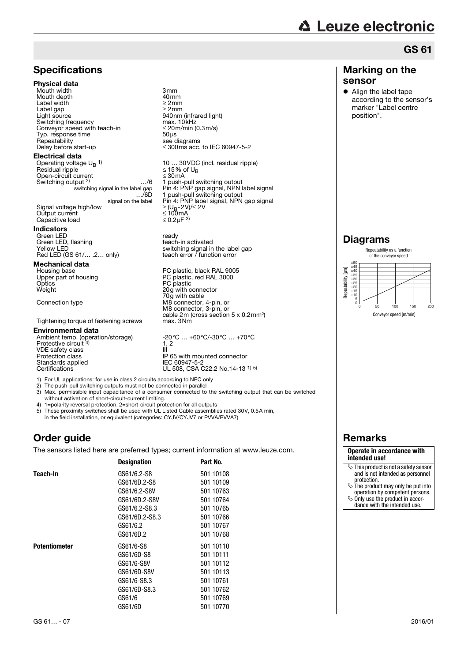### **Specifications**

#### Physical data

Mouth width 3mm<br>Mouth depth 3mm 40mm Mouth depth 40mm<br>
Label width 22mm<br>
Label qap 22mm Label width Label gap<br>Light source Switching frequency max.  $10kHz$ <br>Convevor speed with teach-in  $\leq 20m/min (0.3m/s)$ Conveyor speed with teach-in ≤ 20m<br>Typ. response time 50 m Typ. response time<br>Repeatability Repeatability see diagrams<br>Delay before start-up  $\leq 300 \text{ ms}$  acc.

#### Electrical data

Operating voltage UB 1) Residual ripple ≤ 15% of UB Open-circuit current ≤ 30mA Switching output 2) switching signal in the label gap …/6D signal on the label Signal voltage high/low Output current

### Capacitive load

Indicators Green LED<br>Green LED, flashing and the state of the ready<br>Green LED, flashing and the state of teach-in activated Green LED, flashing<br>Yellow LED Red LED (GS  $61/$ ... .2... only)

**Mechanical data**<br>Housing base Optics PC plastic Weight 20g with connector

Tightening torque of fastening screws

#### Environmental data

Ambient temp. (operation/storage) -20°C … +60°C/-30°C … +70°C<br>Protective circuit <sup>4)</sup> 1, 2 VDE safety class<br>Protection class Protection class<br>
Protection class<br>
Standards applied<br>
IEC 60947-5-2

140nm (infrared light)<br>max. 10kHz  $\leq$  300ms acc. to IEC 60947-5-2

10 ... 30VDC (incl. residual ripple)<br> $\leq$  15% of U<sub>B</sub> 1 push-pull switching output Pin 4: PNP gap signal, NPN label signal 1 push-pull switching output Pin 4: PNP label signal, NPN gap signal<br>  $\geq$  (U<sub>B</sub>-2V)/ $\leq$  2V<br>  $\leq$  100mA<br>  $\leq$  0.2µF <sup>3</sup>

switching signal in the label gap teach error  $/$  function error

Housing base **PC** plastic, black RAL 9005<br>
Upper part of housing **PC** plastic, red RAL 3000 Upper part of housing<br>
Optics<br>
PC plastic, red RAL 3000<br>
Weight<br>
20g with connector 70g with cable Connection type M8 connector, 4-pin, or M8 connector, 3-pin, or cable 2m (cross section 5 x 0.2mm<sup>2</sup>)<br>max. 3Nm

 $\frac{1}{11}$ , 2 Standards applied IEC 60947-5-2<br>Certifications UL 508, CSA C22.2 No.14-13 <sup>1) 5)</sup>

- 1) For UL applications: for use in class 2 circuits according to NEC only
- 2) The push-pull switching outputs must not be connected in parallel
- 3) Max. permissible input capacitance of a consumer connected to the switching output that can be switched without activation of short-circuit-current limiting.
- 4) 1=polarity reversal protection, 2=short-circuit protection for all outputs
- 5) These proximity switches shall be used with UL Listed Cable assemblies rated 30V, 0.5A min, in the field installation, or equivalent (categories: CYJV/CYJV7 or PVVA/PVVA7)

### Order guide

The sensors listed here are preferred types; current information at www.leuze.com.

|                      | <b>Designation</b> | Part No.  |
|----------------------|--------------------|-----------|
| Teach-In             | GS61/6.2-S8        | 501 10108 |
|                      | GS61/6D.2-S8       | 501 10109 |
|                      | GS61/6.2-S8V       | 501 10763 |
|                      | GS61/6D.2-S8V      | 501 10764 |
|                      | GS61/6.2-S8.3      | 501 10765 |
|                      | GS61/6D.2-S8.3     | 501 10766 |
|                      | GS61/6.2           | 501 10767 |
|                      | GS61/6D.2          | 501 10768 |
| <b>Potentiometer</b> | GS61/6-S8          | 501 10110 |
|                      | GS61/6D-S8         | 501 10111 |
|                      | GS61/6-S8V         | 501 10112 |
|                      | GS61/6D-S8V        | 501 10113 |
|                      | GS61/6-S8.3        | 501 10761 |
|                      | GS61/6D-S8.3       | 501 10762 |
|                      | GS61/6             | 501 10769 |
|                      | GS61/6D            | 501 10770 |

# GS 61

#### Marking on the sensor

• Align the label tape according to the sensor's marker "Label centre position".

### Diagrams



# Remarks

#### **Operate in accordance with intended use!**

- $\overline{\mathfrak{G}}$  This product is not a safety sensor and is not intended as personnel
- protection. The product may only be put into operation by competent persons.
- Only use the product in accor-dance with the intended use.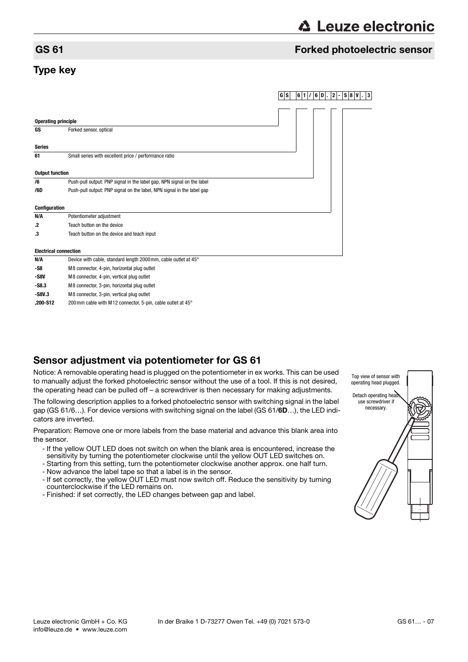# **∆ Leuze electronic**

### GS 61 Forked photoelectric sensor

# Type key

|                              |                                                                        | GS | $6 1 / 6 0 $ . 2- |  | $ \mathsf{S}   \mathsf{8}   \mathsf{V} $ . 3 |  |
|------------------------------|------------------------------------------------------------------------|----|-------------------|--|----------------------------------------------|--|
|                              |                                                                        |    |                   |  |                                              |  |
|                              |                                                                        |    |                   |  |                                              |  |
| <b>Operating principle</b>   |                                                                        |    |                   |  |                                              |  |
| GS                           | Forked sensor, optical                                                 |    |                   |  |                                              |  |
| <b>Series</b>                |                                                                        |    |                   |  |                                              |  |
| 61                           | Small series with excellent price / performance ratio                  |    |                   |  |                                              |  |
| <b>Output function</b>       |                                                                        |    |                   |  |                                              |  |
| /6                           | Push-pull output: PNP signal in the label gap, NPN signal on the label |    |                   |  |                                              |  |
| /6D                          | Push-pull output: PNP signal on the label, NPN signal in the label gap |    |                   |  |                                              |  |
| Configuration                |                                                                        |    |                   |  |                                              |  |
| N/A                          | Potentiometer adjustment                                               |    |                   |  |                                              |  |
| $\cdot$                      | Teach button on the device                                             |    |                   |  |                                              |  |
| .3                           | Teach button on the device and teach input                             |    |                   |  |                                              |  |
| <b>Electrical connection</b> |                                                                        |    |                   |  |                                              |  |
| N/A                          | Device with cable, standard length 2000mm, cable outlet at 45°         |    |                   |  |                                              |  |
| -S8                          | M8 connector, 4-pin, horizontal plug outlet                            |    |                   |  |                                              |  |
| $-$ S8V                      | M8 connector, 4-pin, vertical plug outlet                              |    |                   |  |                                              |  |
| $-S8.3$                      | M8 connector, 3-pin, horizontal plug outlet                            |    |                   |  |                                              |  |
| $-S8V.3$                     | M8 connector, 3-pin, vertical plug outlet                              |    |                   |  |                                              |  |
| ,200-S12                     | 200 mm cable with M12 connector, 5-pin, cable outlet at 45°            |    |                   |  |                                              |  |

# Sensor adjustment via potentiometer for GS 61

Notice: A removable operating head is plugged on the potentiometer in ex works. This can be used to manually adjust the forked photoelectric sensor without the use of a tool. If this is not desired, the operating head can be pulled off – a screwdriver is then necessary for making adjustments.

The following description applies to a forked photoelectric sensor with switching signal in the label gap (GS 61/6…). For device versions with switching signal on the label (GS 61/6D…), the LED indicators are inverted.

Preparation: Remove one or more labels from the base material and advance this blank area into the sensor.

- If the yellow OUT LED does not switch on when the blank area is encountered, increase the sensitivity by turning the potentiometer clockwise until the yellow OUT LED switches on.
- Starting from this setting, turn the potentiometer clockwise another approx. one half turn.
- Now advance the label tape so that a label is in the sensor.
- If set correctly, the yellow OUT LED must now switch off. Reduce the sensitivity by turning counterclockwise if the LED remains on.
- Finished: if set correctly, the LED changes between gap and label.

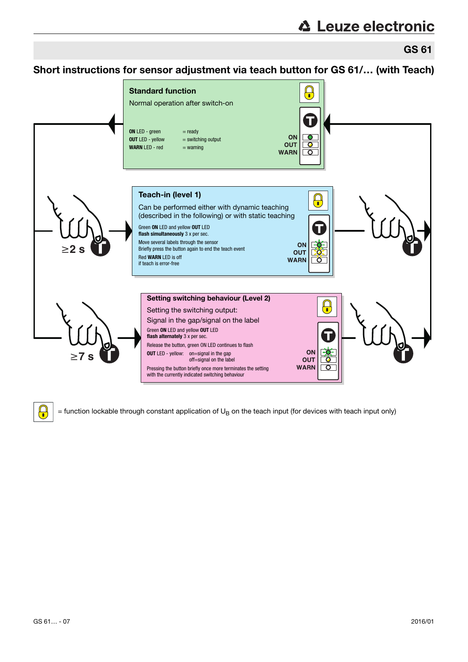GS 61

Short instructions for sensor adjustment via teach button for GS 61/… (with Teach)



 $\Omega$ 

 $=$  function lockable through constant application of U<sub>B</sub> on the teach input (for devices with teach input only)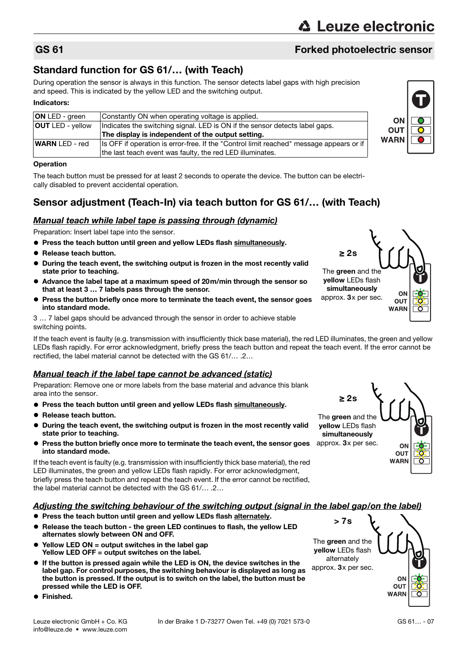# GS 61 Forked photoelectric sensor

# Standard function for GS 61/… (with Teach)

During operation the sensor is always in this function. The sensor detects label gaps with high precision and speed. This is indicated by the yellow LED and the switching output.

#### Indicators:

| <b>ON LED - green</b>   | Constantly ON when operating voltage is applied.                                        |  |
|-------------------------|-----------------------------------------------------------------------------------------|--|
| <b>OUT LED - vellow</b> | Indicates the switching signal. LED is ON if the sensor detects label gaps.             |  |
|                         | The display is independent of the output setting.                                       |  |
| <b>WARN</b> LED - red   | Is OFF if operation is error-free. If the "Control limit reached" message appears or if |  |
|                         | the last teach event was faulty, the red LED illuminates.                               |  |

#### **Operation**

The teach button must be pressed for at least 2 seconds to operate the device. The button can be electrically disabled to prevent accidental operation.

# Sensor adjustment (Teach-In) via teach button for GS 61/… (with Teach)

#### Manual teach while label tape is passing through (dynamic)

Preparation: Insert label tape into the sensor.

- **Press the teach button until green and yellow LEDs flash simultaneously.**
- Release teach button.
- During the teach event, the switching output is frozen in the most recently valid state prior to teaching.
- Advance the label tape at a maximum speed of 20m/min through the sensor so that at least 3 … 7 labels pass through the sensor.
- Press the button briefly once more to terminate the teach event, the sensor goes into standard mode.

3 … 7 label gaps should be advanced through the sensor in order to achieve stable switching points.

If the teach event is faulty (e.g. transmission with insufficiently thick base material), the red LED illuminates, the green and yellow LEDs flash rapidly. For error acknowledgment, briefly press the teach button and repeat the teach event. If the error cannot be rectified, the label material cannot be detected with the GS 61/… .2…

#### Manual teach if the label tape cannot be advanced (static)

Preparation: Remove one or more labels from the base material and advance this blank area into the sensor.

- **Press the teach button until green and yellow LEDs flash simultaneously.**
- Release teach button.
- During the teach event, the switching output is frozen in the most recently valid state prior to teaching.
- **Press the button briefly once more to terminate the teach event, the sensor goes** into standard mode.

If the teach event is faulty (e.g. transmission with insufficiently thick base material), the red LED illuminates, the green and yellow LEDs flash rapidly. For error acknowledgment, briefly press the teach button and repeat the teach event. If the error cannot be rectified, the label material cannot be detected with the GS 61/… .2…

#### Adjusting the switching behaviour of the switching output (signal in the label gap/on the label)

- Press the teach button until green and vellow LEDs flash alternately.
- Release the teach button the green LED continues to flash, the yellow LED alternates slowly between ON and OFF.
- Yellow LED ON = output switches in the label gap Yellow LED OFF = output switches on the label.
- If the button is pressed again while the LED is ON, the device switches in the label gap. For control purposes, the switching behaviour is displayed as long as the button is pressed. If the output is to switch on the label, the button must be pressed while the LED is OFF.
- **•** Finished.





≥ 2s

The green and the yellow LEDs flash simultaneously approx. 3x per sec.



ON **OUT WARN**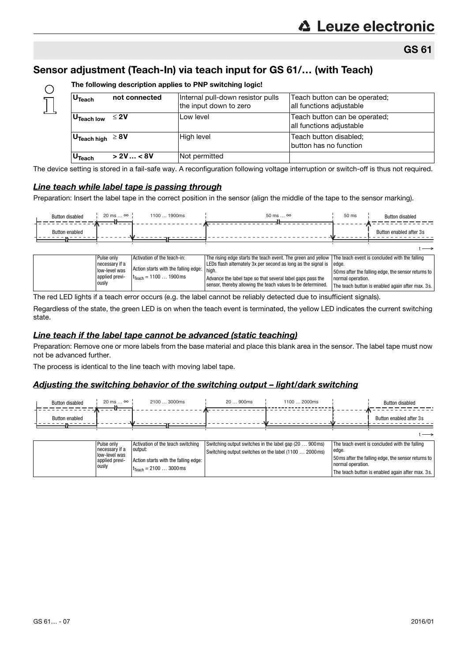The teach button is enabled again after max. 3s.

# Sensor adjustment (Teach-In) via teach input for GS 61/… (with Teach)

| U <sub>Teach</sub>                            | not connected | Internal pull-down resistor pulls<br>the input down to zero | Teach button can be operated;<br>all functions adjustable |
|-----------------------------------------------|---------------|-------------------------------------------------------------|-----------------------------------------------------------|
| U <sub>Teach low</sub>                        | $≤$ 2V        | Low level                                                   | Teach button can be operated;<br>all functions adjustable |
| $^{\circ}$ U <sub>Teach high</sub> $\geq 8$ V |               | High level                                                  | Teach button disabled;<br>button has no function          |
| U <sub>Teach</sub>                            | > 2V < 8V     | Not permitted                                               |                                                           |

The following description applies to PNP switching logic!

The device setting is stored in a fail-safe way. A reconfiguration following voltage interruption or switch-off is thus not required.

#### Line teach while label tape is passing through

 $\bigcirc$ 

Preparation: Insert the label tape in the correct position in the sensor (align the middle of the tape to the sensor marking).

| <b>Button disabled</b> | $20 \text{ ms} \dots \infty$             | 1100  1900ms                                                                     | $50 \text{ ms} \dots \infty$                                                                                                                                                | 50 ms             | <b>Button disabled</b>                              |
|------------------------|------------------------------------------|----------------------------------------------------------------------------------|-----------------------------------------------------------------------------------------------------------------------------------------------------------------------------|-------------------|-----------------------------------------------------|
| <b>Button enabled</b>  |                                          |                                                                                  |                                                                                                                                                                             |                   | Button enabled after 3s                             |
|                        |                                          |                                                                                  |                                                                                                                                                                             |                   |                                                     |
|                        | Pulse only<br>necessary if a             | Activation of the teach-in:                                                      | The rising edge starts the teach event. The green and yellow The teach event is concluded with the falling<br>LEDs flash alternately 3x per second as long as the signal is | edge.             |                                                     |
|                        | low-level was<br>applied previ-<br>ously | Action starts with the falling edge:<br>$t_{\text{Teach}} = 11001900 \text{ ms}$ | ™ I high.<br>Advance the label tape so that several label gaps pass the                                                                                                     | normal operation. | 50 ms after the falling edge, the sensor returns to |
|                        |                                          |                                                                                  | sensor, thereby allowing the teach values to be determined.                                                                                                                 |                   | The teach button is enabled again after max 3s      |

The red LED lights if a teach error occurs (e.g. the label cannot be reliably detected due to insufficient signals).

Regardless of the state, the green LED is on when the teach event is terminated, the yellow LED indicates the current switching state.

#### Line teach if the label tape cannot be advanced (static teaching)

Preparation: Remove one or more labels from the base material and place this blank area in the sensor. The label tape must now not be advanced further.

The process is identical to the line teach with moving label tape.

#### Adjusting the switching behavior of the switching output – light/dark switching

| <b>Button disabled</b> | $20 \text{ ms} \dots \infty$ | 2100  3000ms | 20  900ms | 1100  2000ms | <b>Button disabled</b>  |
|------------------------|------------------------------|--------------|-----------|--------------|-------------------------|
| <b>Button enabled</b>  |                              |              | ,,,       |              | Button enabled after 3s |
|                        |                              |              |           |              |                         |

| Pulse only                      | Activation of the teach switching         | Switching output switches in the label gap (20  900 ms) | The teach event is concluded with the falling       |
|---------------------------------|-------------------------------------------|---------------------------------------------------------|-----------------------------------------------------|
| necessary if a                  | output:                                   | Switching output switches on the label (1100  2000ms)   | l edge.                                             |
| low-level was<br>applied previ- | Action starts with the falling edge:      |                                                         | 50 ms after the falling edge, the sensor returns to |
| ously                           | $t_{\text{Teach}} = 21003000 \,\text{ms}$ |                                                         | normal operation.                                   |
|                                 |                                           |                                                         | The teach button is enabled again after max. 3s.    |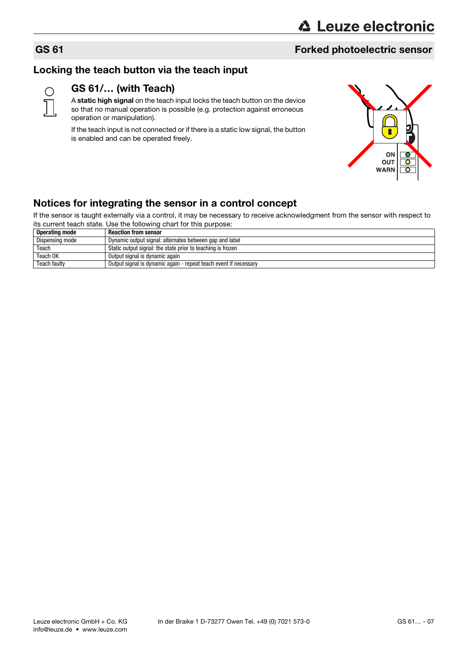# GS 61 Forked photoelectric sensor

# Locking the teach button via the teach input



# GS 61/… (with Teach)

A static high signal on the teach input locks the teach button on the device so that no manual operation is possible (e.g. protection against erroneous operation or manipulation).

If the teach input is not connected or if there is a static low signal, the button is enabled and can be operated freely.



# Notices for integrating the sensor in a control concept

If the sensor is taught externally via a control, it may be necessary to receive acknowledgment from the sensor with respect to its current teach state. Use the following chart for this purpose:

| <b>Operating mode</b> | <b>Reaction from sensor</b>                                      |
|-----------------------|------------------------------------------------------------------|
| Dispensing mode       | Dynamic output signal: alternates between gap and label          |
| Teach                 | Static output signal: the state prior to teaching is frozen      |
| Teach OK              | Output signal is dynamic again                                   |
| Teach faulty          | Output signal is dynamic again - repeat teach event if necessary |